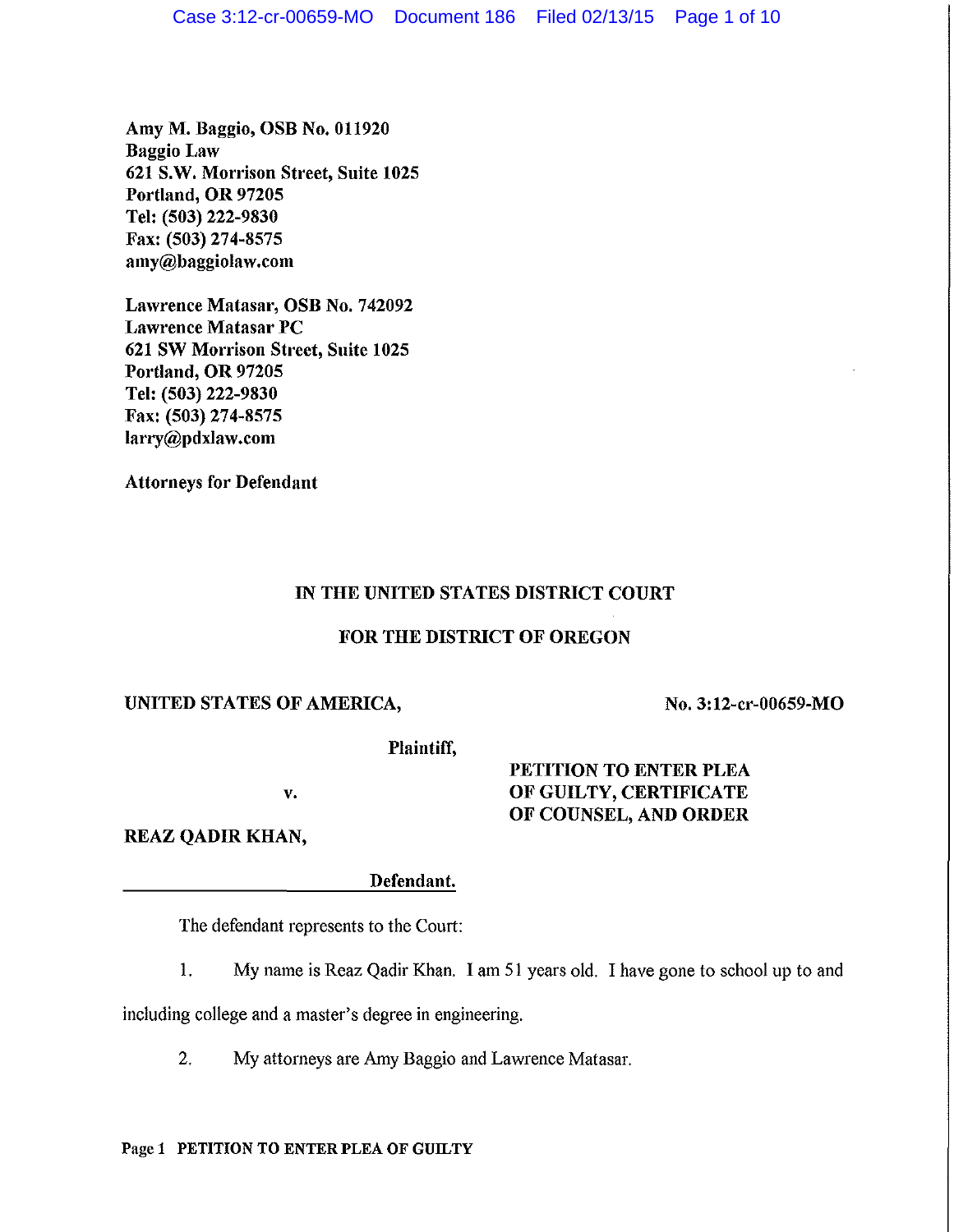Amy M. Baggio, OSB No. 011920 Baggio Law 621 S.W. Morrison Street, Suite 1025 Portland, OR 97205 Tel: (503) 222-9830 Fax: (503) 274-8575 amy@baggiolaw.com

Lawrence Matasar, OSB No. 742092 Lawrence Matasar PC 621 SW Morrison Street, Suite 1025 Portland, OR 97205 Tel: (503) 222-9830 Fax: (503) 274-8575 larry@pdxlaw.com

Attorneys for Defendant

# IN THE UNITED STATES DISTRICT COURT

## FOR THE DISTRICT OF OREGON

## UNITED STATES OF AMERICA,

No. 3:12-cr-00659-MO

Plaintiff,

v.

# PETITION TO ENTER PLEA OF GUILTY, CERTIFICATE OF COUNSEL, AND ORDER

REAZ QADIR KHAN,

Defendant.

The defendant represents to the Court:

1. My name is Reaz Qadir Khan. I am 51 years old. I have gone to school up to and

including college and a master's degree in engineering.

2. My attorneys are Amy Baggio and Lawrence Matasar.

### Page 1 PETITION TO ENTER PLEA OF GUILTY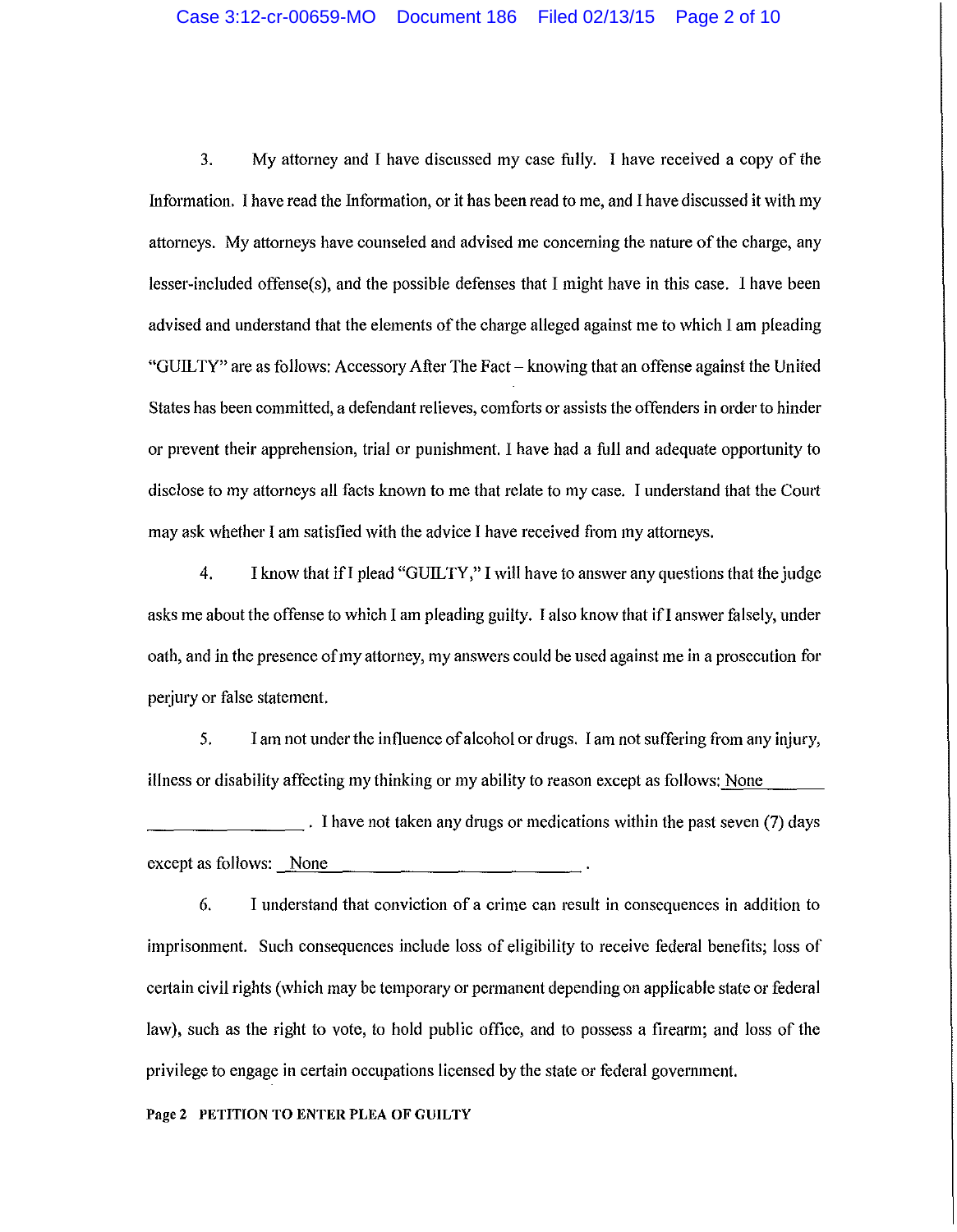3. My attorney and I have discussed my case fully. I have received a copy of the Information. I have read the Information, or it has been read to me, and I have discussed it with my attorneys. My attorneys have counseled and advised me concerning the nature of the charge, any lesser-included offense(s), and the possible defenses that I might have in this case. I have been advised and understand that the elements of the charge alleged against me to which I am pleading "GUILTY" are as follows: Accessory After The Fact- knowing that an offense against the United States has been committed, a defendant relieves, comforts or assists the offenders in order to hinder or prevent their apprehension, trial or punishment. I have had a full and adequate opportunity to disclose to my attorneys all facts known to me that relate to my case. I understand that the Coutt may ask whether I am satisfied with the advice I have received from my attorneys.

4. I know that if I plead "GUILTY," I will have to answer any questions that the judge asks me about the offense to which I am pleading guilty. I also know that ifI answer falsely, under oath, and in the presence of my attorney, my answers could be used against me in a prosecution for perjury or false statement.

5. I am not under the influence of alcohol or drugs. lam not suffering from any injury, illness or disability affecting my thinking or my ability to reason except as follows: None

\_\_\_\_\_\_\_\_ . I have not taken any drugs or medications within the past seven (7) days except as follows: None

6. I understand that conviction of a crime can result in consequences in addition to imprisonment. Such consequences include loss of eligibility to receive federal benefits; loss of certain civil rights (which may be temporary or permanent depending on applicable state or federal law), such as the right to vote, to hold public office, and to possess a firearm; and loss of the privilege to engage in certain occupations licensed by the state or federal government.

#### Page 2 PETITION TO ENTER PLEA OF GUILTY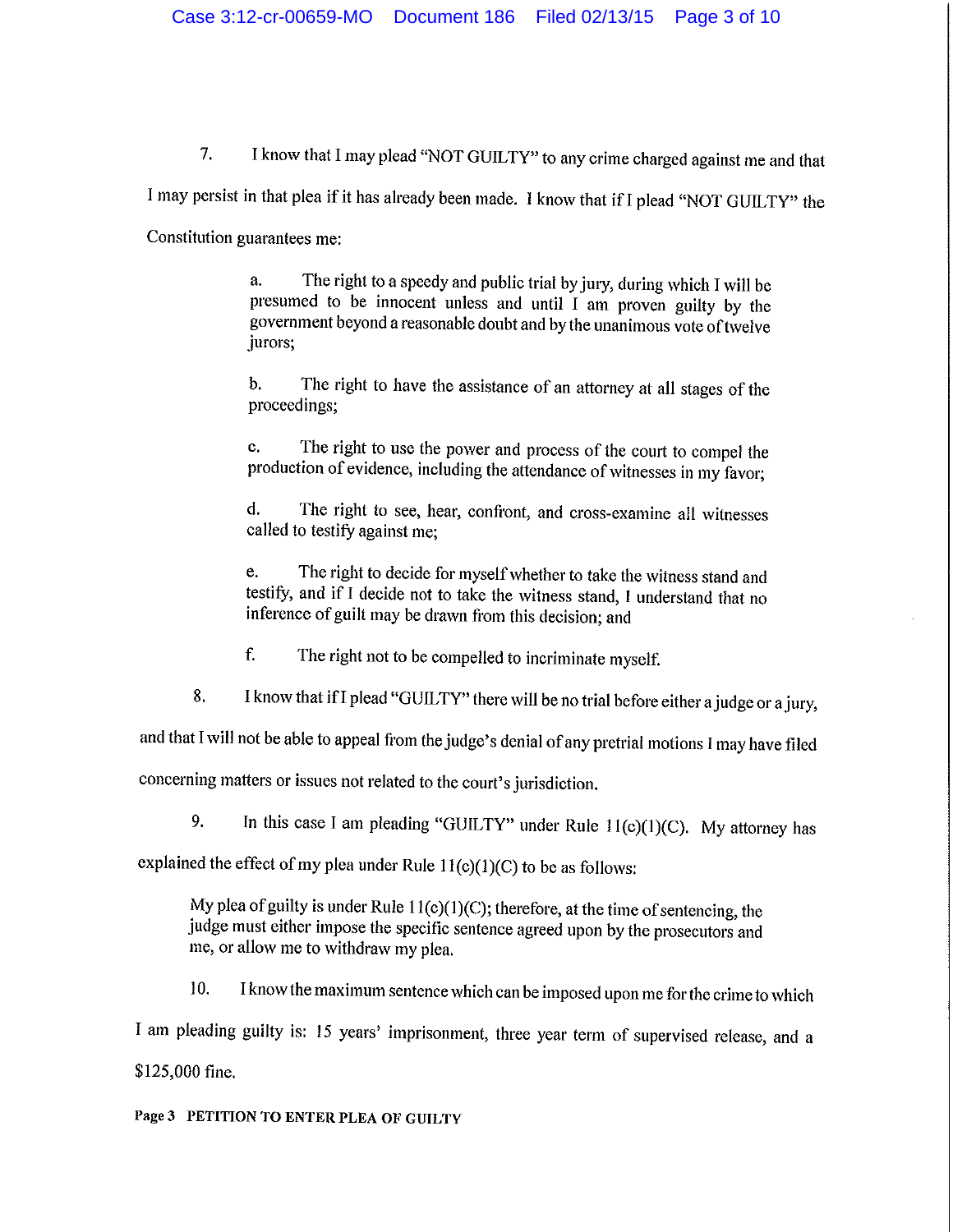7. I know that I may plead "NOT GUILTY" to any crime charged against me and that

I may persist in that plea if it has already been made. I know that if I plead "NOT GUILTY" the

Constitution guarantees me:

a. The right to a speedy and public trial by jury, during which I will be presumed to be innocent unless and until I am proven guilty by the government beyond a reasonable doubt and by the unanimous vote of twelve jurors;

b. The right to have the assistance of an attorney at all stages of the proceedings;

c. The right to use the power and process of the court to compel the production of evidence, including the attendance of witnesses in my favor;

d. The right to see, hear, confront, and cross-examine all witnesses called to testify against me;

e. The right to decide for myself whether to take the witness stand and testify, and if I decide not to take the witness stand, I understand that no inference of guilt may be drawn from this decision; and

f. The right not to be compelled to incriminate myself.

8. I know that if I plead "GUILTY" there will be no trial before either a judge or a jury,

and that I will not be able to appeal from the judge's denial of any pretrial motions I may have filed

concerning matters or issues not related to the court's jurisdiction.

9. In this case I am pleading "GUILTY" under Rule  $11(c)(1)(C)$ . My attorney has

explained the effect of my plea under Rule  $11(c)(1)(C)$  to be as follows:

My plea of guilty is under Rule  $11(c)(1)(C)$ ; therefore, at the time of sentencing, the judge must either impose the specific sentence agreed upon by the prosecutors and me, or allow me to withdraw my plea.

10. I know the maximum sentence which can be imposed upon me for the crime to which I am pleading guilty is: 15 years' imprisonment, three year term of supervised release, and a \$125,000 fine.

Page 3 PETITION TO ENTER PLEA OF GUILTY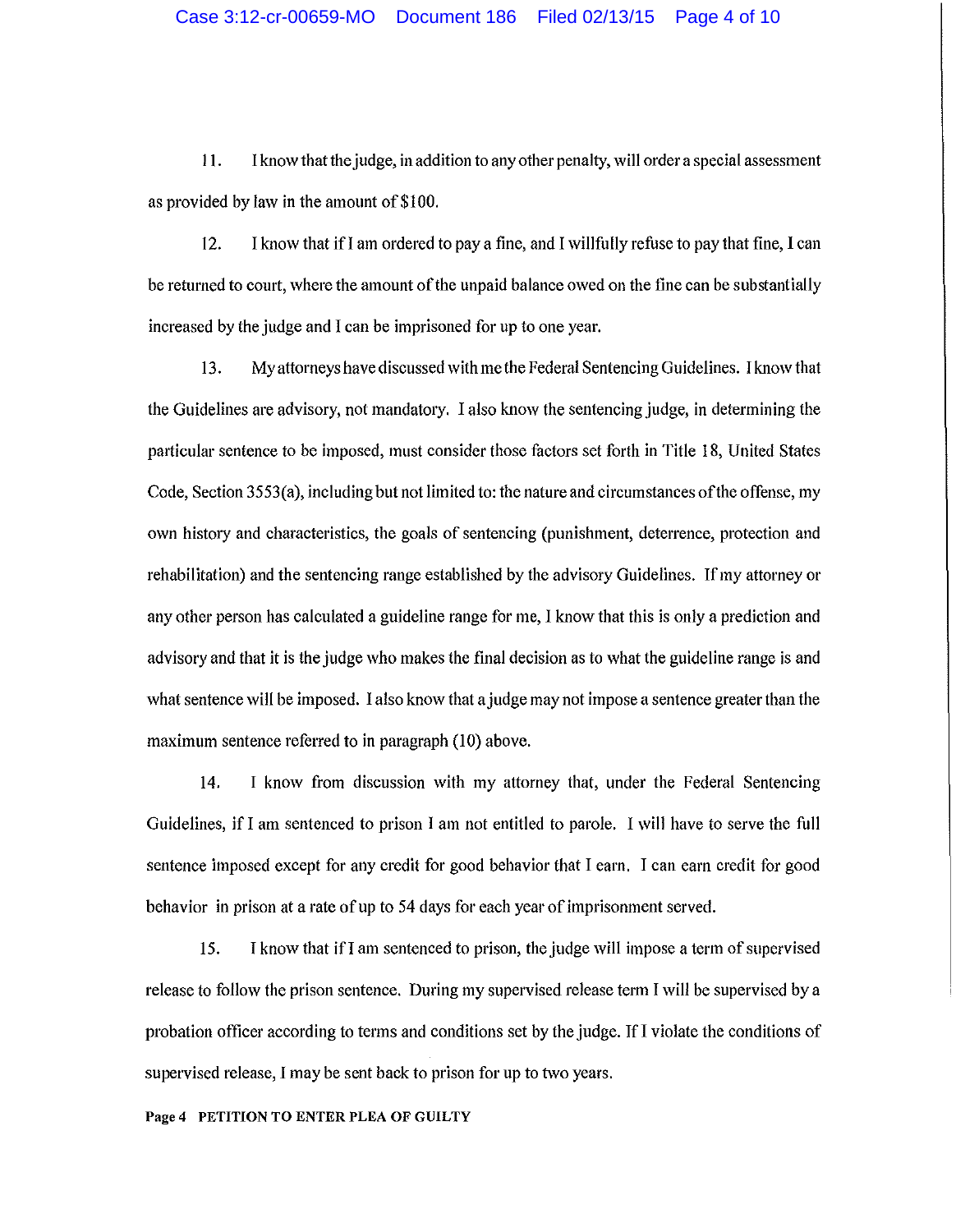l l. I know that the judge, in addition to any other penalty, will ordera special assessment as provided by law in the amount of\$100.

12. I know that ifl am ordered to pay a fine, and I willfully refuse to pay that fine, I can be returned to court, where the amount of the unpaid balance owed on the fine can be substantially increased by the judge and I can be imprisoned for up to one year.

13. My attorneys have discussed with me the Federal Sentencing Guidelines. I know that the Guidelines are advisory, not mandatory. I also know the sentencing judge, in determining the paiticular sentence to be imposed, must consider those factors set forth in Title 18, United States Code, Section 3553(a), including but not limited to: the nature and circumstances of the offense, my own history and characteristics, the goals of sentencing (punishment, deterrence, protection and rehabilitation) and the sentencing range established by the advisory Guidelines. If my attorney or any other person has calculated a guideline range for me, I know that this is only a prediction and advisory and that it is the judge who makes the final decision as to what the guideline range is and what sentence will be imposed. I also know that a judge may not impose a sentence greater than the maximum sentence referred to in paragraph (10) above.

14. I know from discussion with my attorney that, under the Federal Sentencing Guidelines, if I am sentenced to prison I am not entitled to parole. I will have to serve the full sentence imposed except for any credit for good behavior that I earn. I can earn credit for good behavior in prison at a rate of up to 54 days for each year of imprisonment served.

15. I know that ifl am sentenced to prison, the judge will impose a term of supervised release to follow the prison sentence. During my supervised release term I will be supervised by a probation officer according to terms and conditions set by the judge. If I violate the conditions of supervised release, I may be sent back to prison for up to two years.

#### Page 4 PETITION TO ENTER PLEA OF GUILTY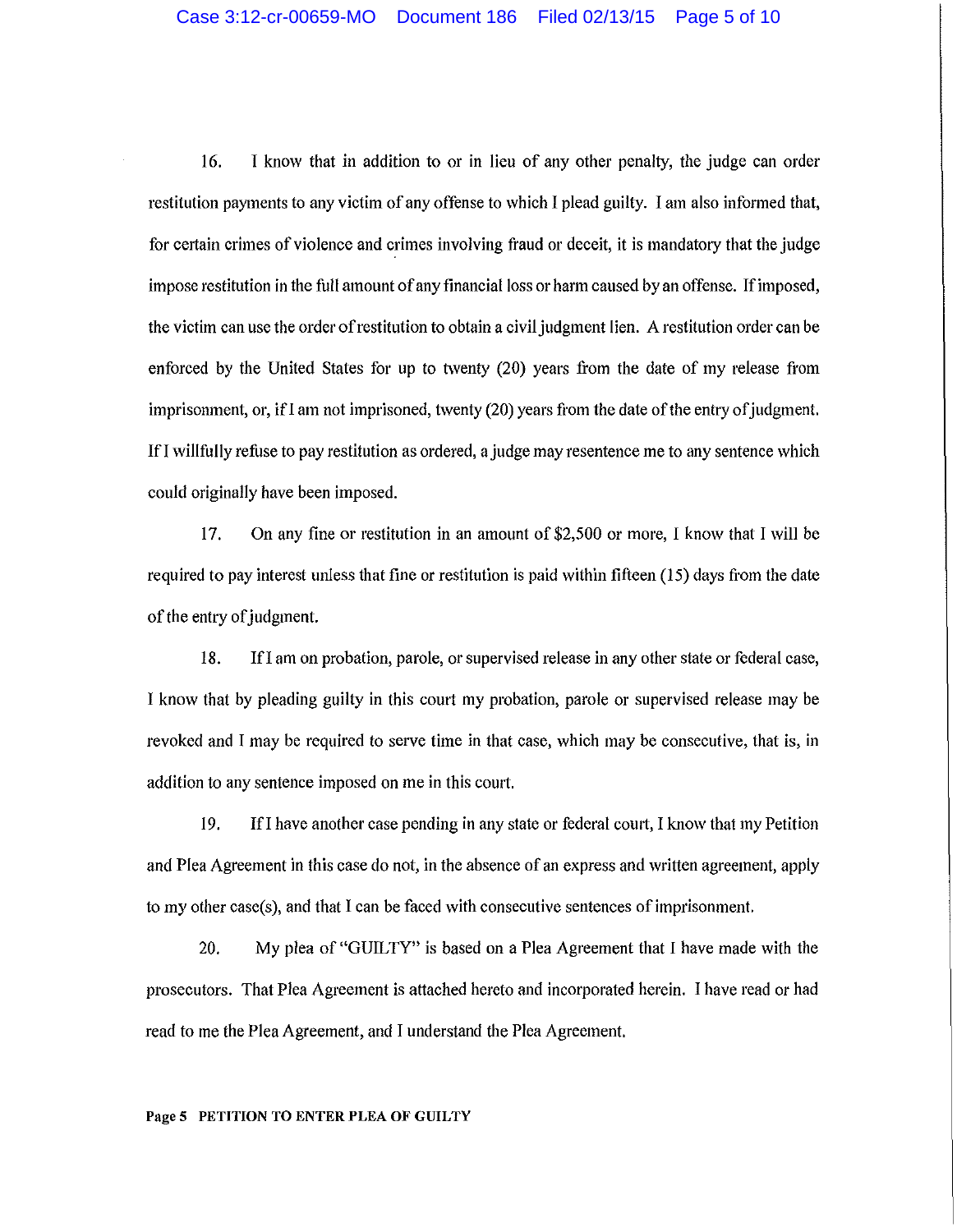16. I know that in addition to or in lieu of any other penalty, the judge can order restitution payments to any victim of any offense to which I plead guilty. I am also informed that, for certain crimes of violence and crimes involving fraud or deceit, it is mandatory that the judge impose restitution in the full amount of any financial loss or harm caused by an offense. If imposed, the victim can use the order ofrestitution to obtain a civil judgment lien. A restitution order can be enforced by the United States for up to twenty (20) years from the date of my release from imprisonment, or, if I am not imprisoned, twenty  $(20)$  years from the date of the entry of judgment. lfl willfully refuse to pay restitution as ordered, a judge may resentence me to any sentence which could originally have been imposed.

17. On any fine or restitution in an amount of \$2,500 or more, I know that I will be required to pay interest unless that fine or restitution is paid within fifteen (15) days from the date of the entry of judgment.

18. Ifl am on probation, parole, or supervised release in any other state or federal case, I know that by pleading guilty in this comt my probation, parole or supervised release may be revoked and I may be required to serve time in that case, which may be consecutive, that is, in addition to any sentence imposed on me in this court.

19. !fl have another case pending in any state or federal comt, I know that my Petition and Plea Agreement in this case do not, in the absence of an express and written agreement, apply to my other case(s), and that I can be faced with consecutive sentences of imprisonment.

20. My plea of"GUILTY" is based on a Plea Agreement that I have made with the prosecutors. That Plea Agreement is attached hereto and incorporated herein. I have read or had read to me the Plea Agreement, and I understand the Plea Agreement.

#### Page 5 PETITION TO ENTER PLEA OF GUILTY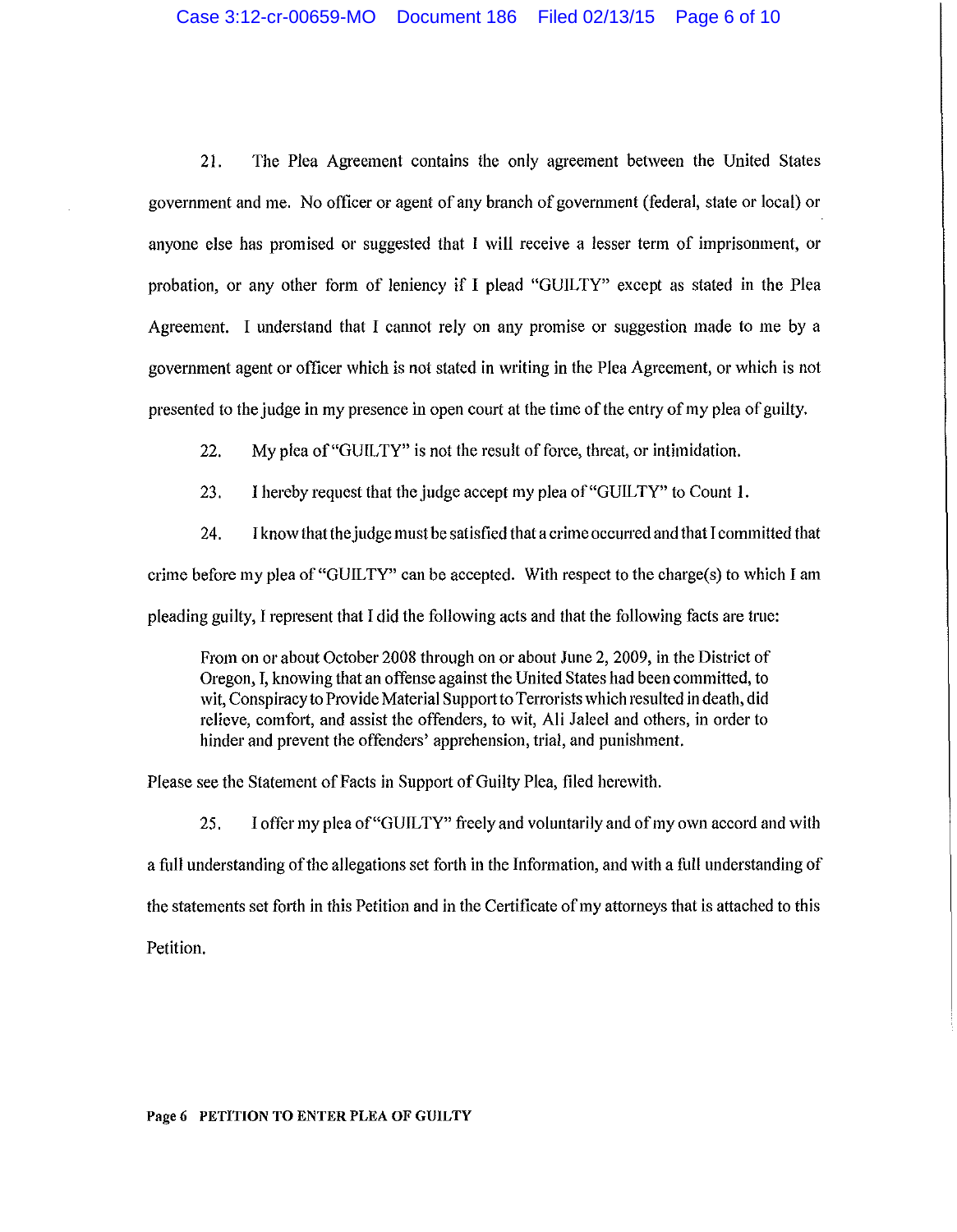21. The Plea Agreement contains the only agreement between the United States government and me. No officer or agent of any branch of government (federal, state or local) or anyone else has promised or suggested that I will receive a lesser term of imprisonment, or probation, or any other form of leniency if I plead "GUILTY" except as stated in the Plea Agreement. I understand that I cannot rely on any promise or suggestion made to me by a government agent or officer which is not stated in writing in the Plea Agreement, or which is not presented to the judge in my presence in open court at the time of the entry of my plea of guilty.

22. My plea of"GUILTY" is not the result of force, threat, or intimidation.

23. I hereby request that the judge accept my plea of "GUILTY" to Count 1.

24. I know thatthe judge must be satisfied that a crime occurred and that I committed that crime before my plea of"GUILTY" can be accepted. With respect to the charge(s) to which I am pleading guilty, I represent that I did the following acts and that the following facts are true:

From on or about October 2008 through on or about June 2, 2009, in the District of Oregon, I, knowing that an offense against the United States had been committed, to wit, Conspiracy to Provide Material Support to Terrorists which resulted in death, did relieve, comfort, and assist the offenders, to wit, Ali Jaleel and others, in order to hinder and prevent the offenders' apprehension, trial, and punishment.

Please see the Statement of Facts in Support of Guilty Plea, filed herewith.

25. I offer my plea of"GUILTY" freely and voluntarily and of my own accord and with a full understanding of the allegations set forth in the Information, and with a full understanding of the statements set forth in this Petition and in the Certificate of my attorneys that is attached to this Petition.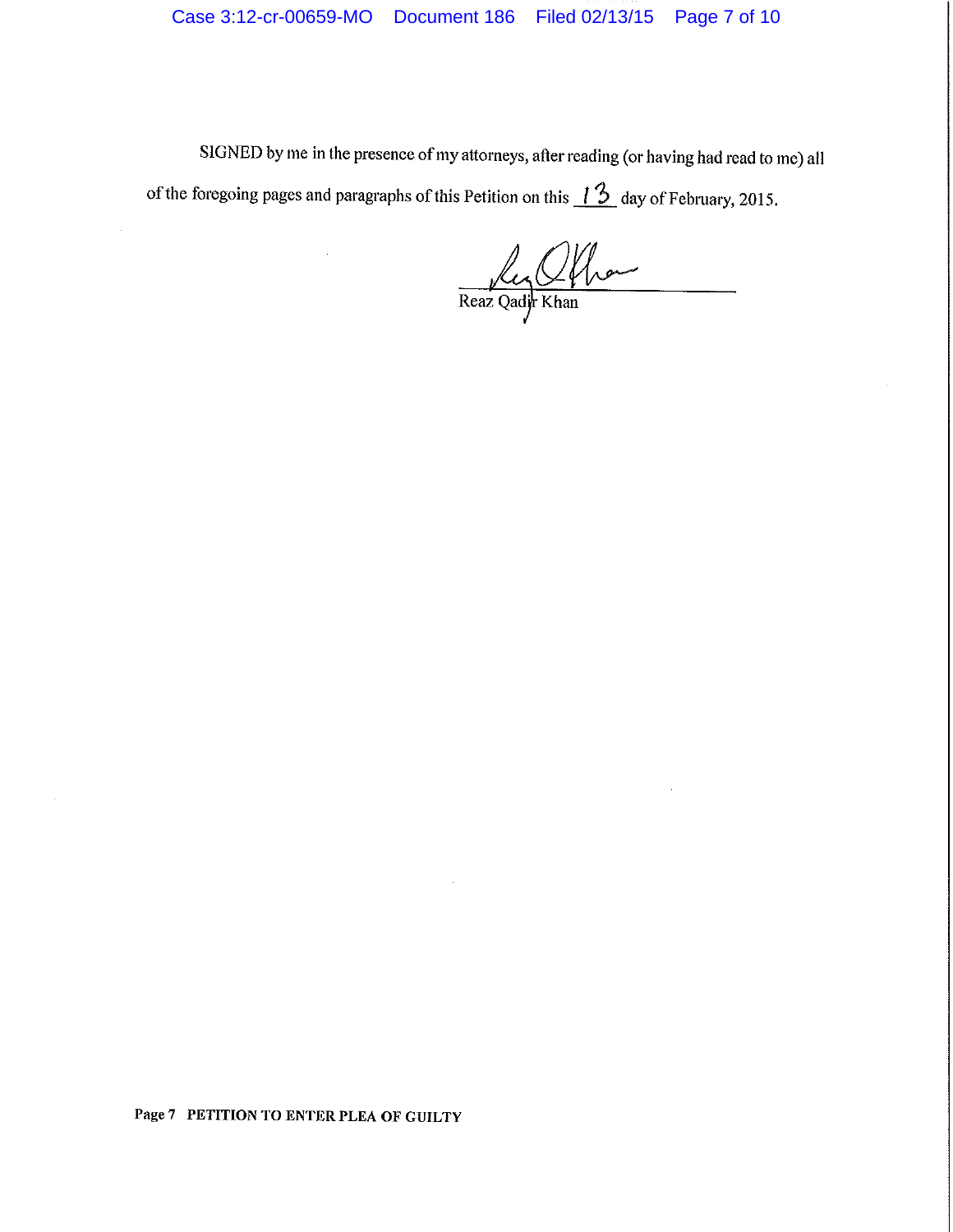SIGNED by me in the presence of my attorneys, after reading (or having had read to me) all of the foregoing pages and paragraphs of this Petition on this  $\frac{13}{2}$  day of February, 2015.

Real Offrance

Page 7 PETITION TO ENTER PLEA OF GUILTY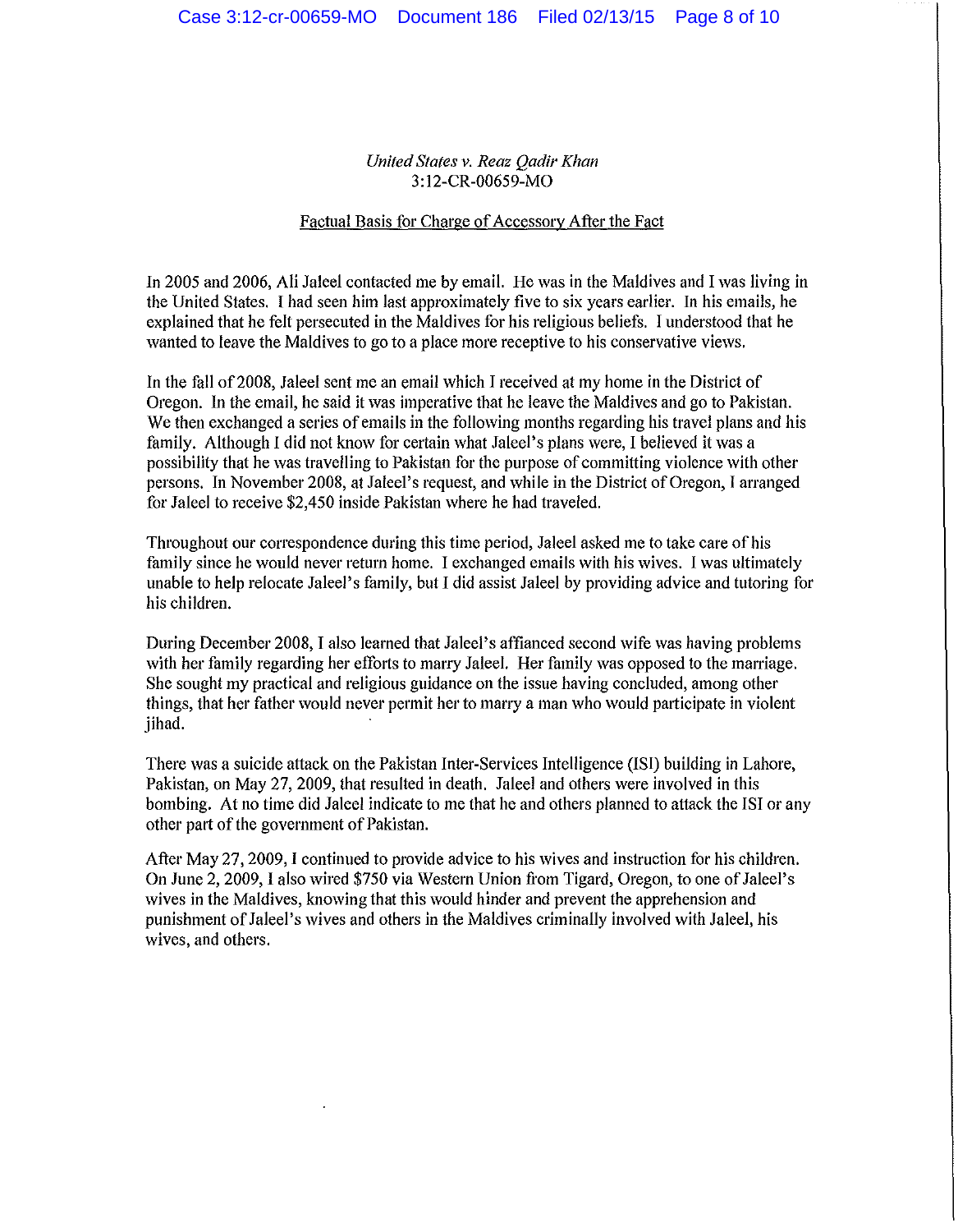*United States v. Reaz Qadir Khan*  3: 12-CR-00659-MO

#### Factual Basis for Charge of Accessory After the Fact

In 2005 and 2006, Ali Jaleel contacted me by email. He was in the Maldives and I was living in the United States. I had seen him last approximately five to six years earlier. In his emails, he explained that he felt persecuted in the Maldives for his religious beliefs. I understood that he wanted to leave the Maldives to go to a place more receptive to his conservative views.

In the fall of2008, Jaleel sent me an email which I received at my home in the District of Oregon. In the email, he said it was imperative that he leave the Maldives and go to Pakistan. We then exchanged a series of emails in the following months regarding his travel plans and his family. Although I did not know for certain what Jaleel's plans were, I believed it was a possibility that he was travelling to Pakistan for the purpose of committing violence with other persons. In November 2008, at Jaleel's request, and while in the District of Oregon, I arranged for Jaleel to receive \$2,450 inside Pakistan where he had traveled.

Throughout our correspondence during this time period, Jaleel asked me to take care of his family since he would never return home. I exchanged emails with his wives. I was ultimately unable to help relocate Jaleel's family, but I did assist Jaleel by providing advice and tutoring for his children.

During December 2008, I also learned that Jaleel's affianced second wife was having problems with her family regarding her efforts to marry Jaleel. Her family was opposed to the marriage. She sought my practical and religious guidance on the issue having concluded, among other things, that her father would never permit her to marry a man who would patticipate in violent jihad.

There was a suicide attack on the Pakistan Inter-Services Intelligence (ISi) building in Lahore, Pakistan, on May 27, 2009, that resulted in death. Jaleel and others were involved in this bombing. At no time did Jaleel indicate to me that he and others planned to attack the ISI or any other part of the government of Pakistan.

After May 27, 2009, I continued to provide advice to his wives and instruction for his children. On June 2, 2009, I also wired \$750 via Western Union from Tigard, Oregon, to one of Jaleel's wives in the Maldives, knowing that this would hinder and prevent the apprehension and punishment of Jaleel 's wives and others in the Maldives criminally involved with Jaleel, his wives, and others.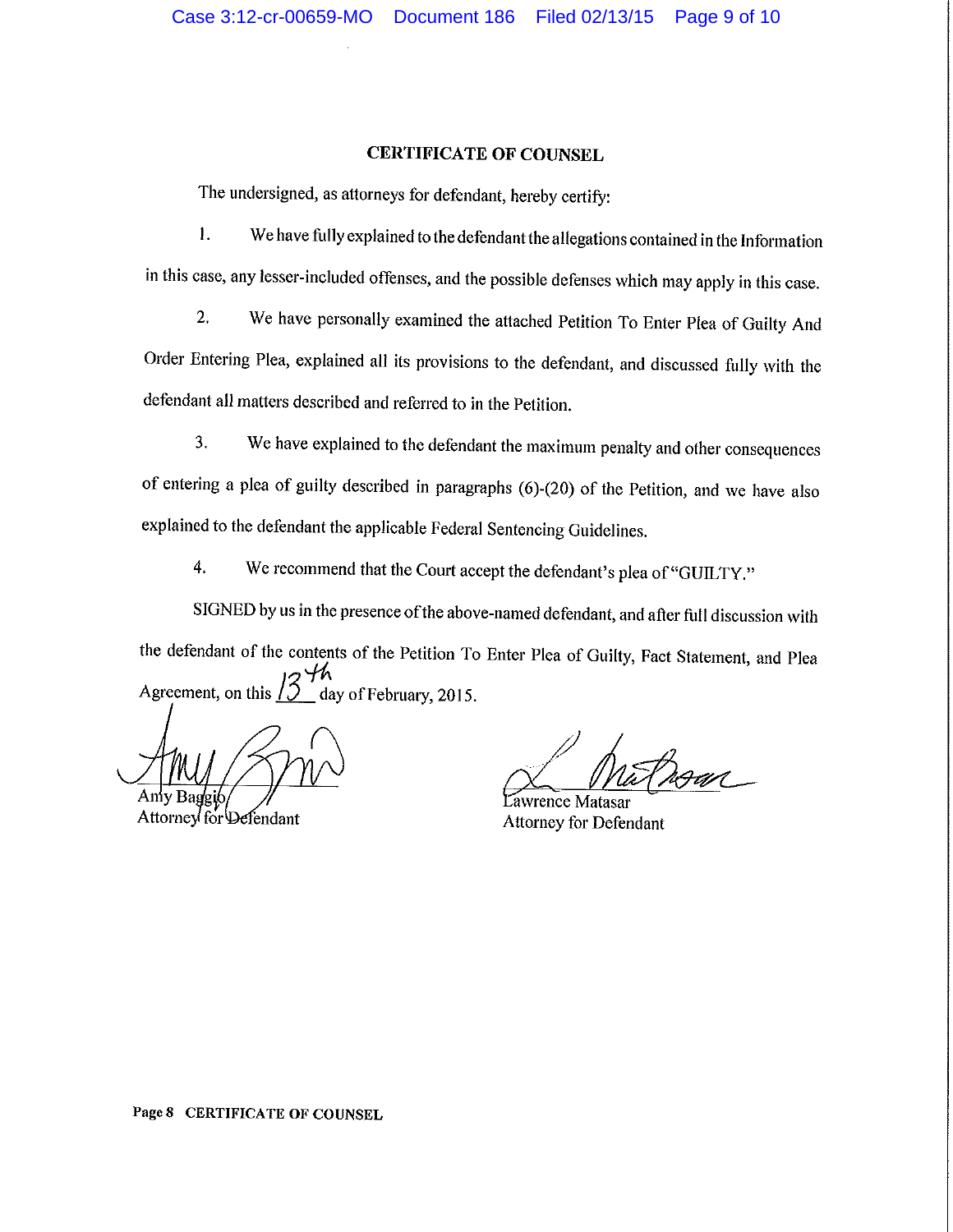#### **CERTIFICATE OF COUNSEL**

The undersigned, as attorneys for defendant, hereby certify:

l. We have fully explained to the defendantthe allegations contained in the Information in this case, any lesser-included offenses, and the possible defenses which may apply in this case.

2. We have personally examined the attached Petition To Enter Plea of Guilty And Order Entering Plea, explained all its provisions to the defendant, and discussed fully with the defendant all matters described and referred to in the Petition.

3. We have explained to the defendant the maximum penalty and other consequences of entering a plea of guilty described in paragraphs (6)-(20) of the Petition, and we have also explained to the defendant the applicable Federal Sentencing Guidelines.

4. We recommend that the Court accept the defendant's plea of "GUILTY."

SIGNED by us in the presence of the above-named defendant, and after full discussion with the defendant of the contents of the Petition To Enter Plea of Guilty, Fact Statement, and Plea  $13\frac{4}{10}$ Agreement, on this  $\sqrt{2}$  day of February, 2015.

Attorney for Defendant

awrence Mathematical Charles Communist Charles Charles Charles Charles Charles Charles Charles Charles Charles Charles Charles Charles Charles Charles Charles Charles Charles Charles Charles Charles Charles Charles Charles

Attorney for Defendant